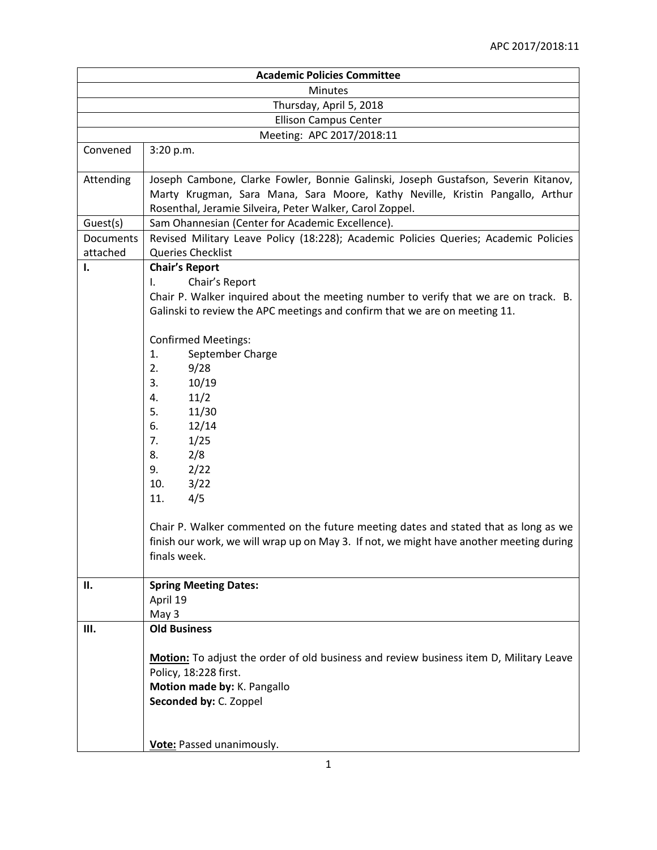| <b>Academic Policies Committee</b> |                                                                                                                                                                                                                                                                                                                                                                                                                                                                                                                                                                                                                              |  |
|------------------------------------|------------------------------------------------------------------------------------------------------------------------------------------------------------------------------------------------------------------------------------------------------------------------------------------------------------------------------------------------------------------------------------------------------------------------------------------------------------------------------------------------------------------------------------------------------------------------------------------------------------------------------|--|
| <b>Minutes</b>                     |                                                                                                                                                                                                                                                                                                                                                                                                                                                                                                                                                                                                                              |  |
| Thursday, April 5, 2018            |                                                                                                                                                                                                                                                                                                                                                                                                                                                                                                                                                                                                                              |  |
| <b>Ellison Campus Center</b>       |                                                                                                                                                                                                                                                                                                                                                                                                                                                                                                                                                                                                                              |  |
| Meeting: APC 2017/2018:11          |                                                                                                                                                                                                                                                                                                                                                                                                                                                                                                                                                                                                                              |  |
| Convened                           | 3:20 p.m.                                                                                                                                                                                                                                                                                                                                                                                                                                                                                                                                                                                                                    |  |
| Attending                          | Joseph Cambone, Clarke Fowler, Bonnie Galinski, Joseph Gustafson, Severin Kitanov,<br>Marty Krugman, Sara Mana, Sara Moore, Kathy Neville, Kristin Pangallo, Arthur<br>Rosenthal, Jeramie Silveira, Peter Walker, Carol Zoppel.                                                                                                                                                                                                                                                                                                                                                                                              |  |
| Guest(s)                           | Sam Ohannesian (Center for Academic Excellence).                                                                                                                                                                                                                                                                                                                                                                                                                                                                                                                                                                             |  |
| Documents                          | Revised Military Leave Policy (18:228); Academic Policies Queries; Academic Policies                                                                                                                                                                                                                                                                                                                                                                                                                                                                                                                                         |  |
| attached                           | Queries Checklist                                                                                                                                                                                                                                                                                                                                                                                                                                                                                                                                                                                                            |  |
| Ι.                                 | <b>Chair's Report</b><br>Chair's Report<br>ı.<br>Chair P. Walker inquired about the meeting number to verify that we are on track. B.<br>Galinski to review the APC meetings and confirm that we are on meeting 11.<br><b>Confirmed Meetings:</b><br>1.<br>September Charge<br>2.<br>9/28<br>3.<br>10/19<br>11/2<br>4.<br>5.<br>11/30<br>12/14<br>6.<br>1/25<br>7.<br>8.<br>2/8<br>2/22<br>9.<br>3/22<br>10.<br>4/5<br>11.<br>Chair P. Walker commented on the future meeting dates and stated that as long as we<br>finish our work, we will wrap up on May 3. If not, we might have another meeting during<br>finals week. |  |
| П.                                 | <b>Spring Meeting Dates:</b>                                                                                                                                                                                                                                                                                                                                                                                                                                                                                                                                                                                                 |  |
|                                    | April 19<br>May 3                                                                                                                                                                                                                                                                                                                                                                                                                                                                                                                                                                                                            |  |
| Ш.                                 | <b>Old Business</b>                                                                                                                                                                                                                                                                                                                                                                                                                                                                                                                                                                                                          |  |
|                                    | Motion: To adjust the order of old business and review business item D, Military Leave<br>Policy, 18:228 first.<br>Motion made by: K. Pangallo<br>Seconded by: C. Zoppel<br><b>Vote:</b> Passed unanimously.                                                                                                                                                                                                                                                                                                                                                                                                                 |  |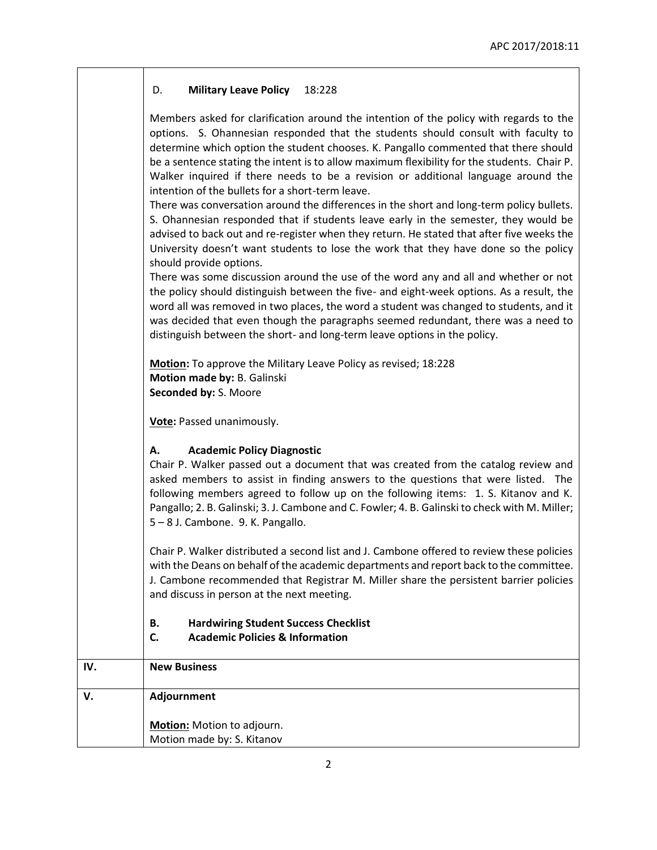## D. **Military Leave Policy** 18:228

|           | Adjournment<br>Motion: Motion to adjourn.<br>Motion made by: S. Kitanov                                                                                                                                                                                                                                                                                                                                                                                                                                    |
|-----------|------------------------------------------------------------------------------------------------------------------------------------------------------------------------------------------------------------------------------------------------------------------------------------------------------------------------------------------------------------------------------------------------------------------------------------------------------------------------------------------------------------|
| IV.<br>٧. | <b>New Business</b>                                                                                                                                                                                                                                                                                                                                                                                                                                                                                        |
|           | <b>Hardwiring Student Success Checklist</b><br>В.<br><b>Academic Policies &amp; Information</b><br>C.                                                                                                                                                                                                                                                                                                                                                                                                      |
|           | Chair P. Walker distributed a second list and J. Cambone offered to review these policies<br>with the Deans on behalf of the academic departments and report back to the committee.<br>J. Cambone recommended that Registrar M. Miller share the persistent barrier policies<br>and discuss in person at the next meeting.                                                                                                                                                                                 |
|           | <b>Academic Policy Diagnostic</b><br>А.<br>Chair P. Walker passed out a document that was created from the catalog review and<br>asked members to assist in finding answers to the questions that were listed. The<br>following members agreed to follow up on the following items: 1. S. Kitanov and K.<br>Pangallo; 2. B. Galinski; 3. J. Cambone and C. Fowler; 4. B. Galinski to check with M. Miller;<br>5-8 J. Cambone. 9. K. Pangallo.                                                              |
|           | Vote: Passed unanimously.                                                                                                                                                                                                                                                                                                                                                                                                                                                                                  |
|           | Motion: To approve the Military Leave Policy as revised; 18:228<br>Motion made by: B. Galinski<br>Seconded by: S. Moore                                                                                                                                                                                                                                                                                                                                                                                    |
|           | There was some discussion around the use of the word any and all and whether or not<br>the policy should distinguish between the five- and eight-week options. As a result, the<br>word all was removed in two places, the word a student was changed to students, and it<br>was decided that even though the paragraphs seemed redundant, there was a need to<br>distinguish between the short- and long-term leave options in the policy.                                                                |
|           | There was conversation around the differences in the short and long-term policy bullets.<br>S. Ohannesian responded that if students leave early in the semester, they would be<br>advised to back out and re-register when they return. He stated that after five weeks the<br>University doesn't want students to lose the work that they have done so the policy<br>should provide options.                                                                                                             |
|           | Members asked for clarification around the intention of the policy with regards to the<br>options. S. Ohannesian responded that the students should consult with faculty to<br>determine which option the student chooses. K. Pangallo commented that there should<br>be a sentence stating the intent is to allow maximum flexibility for the students. Chair P.<br>Walker inquired if there needs to be a revision or additional language around the<br>intention of the bullets for a short-term leave. |